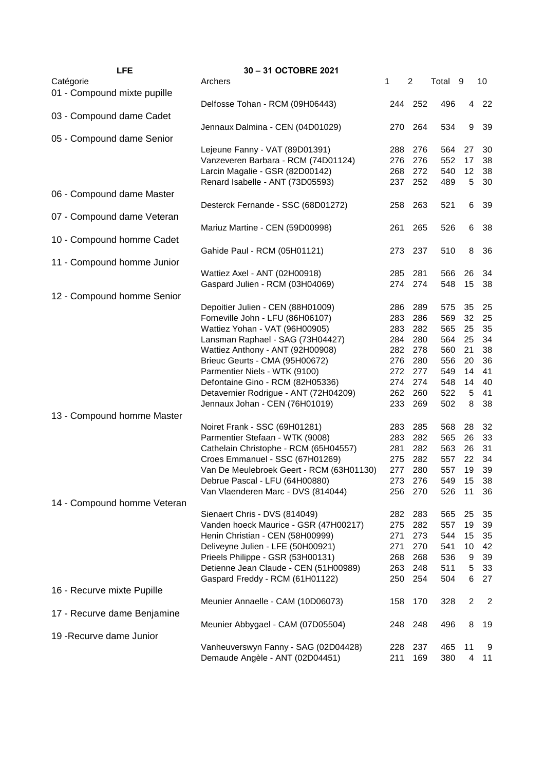| <b>LFE</b>                  | 30-31 OCTOBRE 2021                       |     |     |         |                  |                |
|-----------------------------|------------------------------------------|-----|-----|---------|------------------|----------------|
| Catégorie                   | Archers                                  | 1   | 2   | Total 9 |                  | 10             |
| 01 - Compound mixte pupille |                                          |     |     |         |                  |                |
|                             | Delfosse Tohan - RCM (09H06443)          | 244 | 252 | 496     | $\overline{4}$   | 22             |
| 03 - Compound dame Cadet    |                                          |     |     |         |                  |                |
|                             | Jennaux Dalmina - CEN (04D01029)         | 270 | 264 | 534     | $\boldsymbol{9}$ | 39             |
| 05 - Compound dame Senior   |                                          |     |     |         |                  |                |
|                             |                                          |     |     |         |                  |                |
|                             | Lejeune Fanny - VAT (89D01391)           | 288 | 276 | 564     | 27               | 30             |
|                             | Vanzeveren Barbara - RCM (74D01124)      | 276 | 276 | 552     | 17               | 38             |
|                             | Larcin Magalie - GSR (82D00142)          | 268 | 272 | 540     | 12               | 38             |
|                             | Renard Isabelle - ANT (73D05593)         | 237 | 252 | 489     | $\sqrt{5}$       | 30             |
| 06 - Compound dame Master   |                                          |     |     |         |                  |                |
|                             | Desterck Fernande - SSC (68D01272)       | 258 | 263 | 521     | 6                | 39             |
| 07 - Compound dame Veteran  |                                          |     |     |         |                  |                |
|                             | Mariuz Martine - CEN (59D00998)          | 261 | 265 | 526     | 6                | 38             |
| 10 - Compound homme Cadet   |                                          |     |     |         |                  |                |
|                             |                                          |     |     |         |                  |                |
|                             | Gahide Paul - RCM (05H01121)             | 273 | 237 | 510     | 8                | 36             |
| 11 - Compound homme Junior  |                                          |     |     |         |                  |                |
|                             | Wattiez Axel - ANT (02H00918)            | 285 | 281 | 566     | 26               | 34             |
|                             | Gaspard Julien - RCM (03H04069)          | 274 | 274 | 548     | 15               | 38             |
| 12 - Compound homme Senior  |                                          |     |     |         |                  |                |
|                             | Depoitier Julien - CEN (88H01009)        | 286 | 289 | 575     | 35               | 25             |
|                             | Forneville John - LFU (86H06107)         | 283 | 286 | 569     | 32               | 25             |
|                             | Wattiez Yohan - VAT (96H00905)           | 283 | 282 | 565     | 25               | 35             |
|                             | Lansman Raphael - SAG (73H04427)         | 284 | 280 | 564     | 25               | 34             |
|                             | Wattiez Anthony - ANT (92H00908)         | 282 | 278 | 560     | 21               | 38             |
|                             |                                          |     |     |         |                  |                |
|                             | Brieuc Geurts - CMA (95H00672)           | 276 | 280 | 556     | 20               | 36             |
|                             | Parmentier Niels - WTK (9100)            | 272 | 277 | 549     | 14               | 41             |
|                             | Defontaine Gino - RCM (82H05336)         | 274 | 274 | 548     | 14               | 40             |
|                             | Detavernier Rodrigue - ANT (72H04209)    | 262 | 260 | 522     | $\sqrt{5}$       | 41             |
|                             | Jennaux Johan - CEN (76H01019)           | 233 | 269 | 502     | 8                | 38             |
| 13 - Compound homme Master  |                                          |     |     |         |                  |                |
|                             | Noiret Frank - SSC (69H01281)            | 283 | 285 | 568     | 28               | 32             |
|                             | Parmentier Stefaan - WTK (9008)          | 283 | 282 | 565     | 26               | 33             |
|                             | Cathelain Christophe - RCM (65H04557)    | 281 | 282 | 563     | 26               | 31             |
|                             | Croes Emmanuel - SSC (67H01269)          | 275 | 282 | 557     | 22               | 34             |
|                             | Van De Meulebroek Geert - RCM (63H01130) | 277 | 280 | 557     | 19               | 39             |
|                             | Debrue Pascal - LFU (64H00880)           |     |     |         |                  |                |
|                             |                                          | 273 | 276 | 549     | 15               | 38             |
|                             | Van Vlaenderen Marc - DVS (814044)       | 256 | 270 | 526     | 11               | 36             |
| 14 - Compound homme Veteran |                                          |     |     |         |                  |                |
|                             | Sienaert Chris - DVS (814049)            | 282 | 283 | 565     | 25               | 35             |
|                             | Vanden hoeck Maurice - GSR (47H00217)    | 275 | 282 | 557     | 19               | 39             |
|                             | Henin Christian - CEN (58H00999)         | 271 | 273 | 544     | 15               | 35             |
|                             | Deliveyne Julien - LFE (50H00921)        | 271 | 270 | 541     | 10               | 42             |
|                             | Prieels Philippe - GSR (53H00131)        | 268 | 268 | 536     | 9                | 39             |
|                             | Detienne Jean Claude - CEN (51H00989)    | 263 | 248 | 511     | $\sqrt{5}$       | 33             |
|                             | Gaspard Freddy - RCM (61H01122)          | 250 | 254 | 504     | 6                | 27             |
| 16 - Recurve mixte Pupille  |                                          |     |     |         |                  |                |
|                             |                                          |     |     |         |                  |                |
|                             | Meunier Annaelle - CAM (10D06073)        | 158 | 170 | 328     | $\overline{c}$   | $\overline{c}$ |
| 17 - Recurve dame Benjamine |                                          |     |     |         |                  |                |
|                             | Meunier Abbygael - CAM (07D05504)        | 248 | 248 | 496     | 8                | 19             |
| 19 - Recurve dame Junior    |                                          |     |     |         |                  |                |
|                             | Vanheuverswyn Fanny - SAG (02D04428)     | 228 | 237 | 465     | 11               | 9              |
|                             | Demaude Angèle - ANT (02D04451)          | 211 | 169 | 380     | 4                | 11             |
|                             |                                          |     |     |         |                  |                |